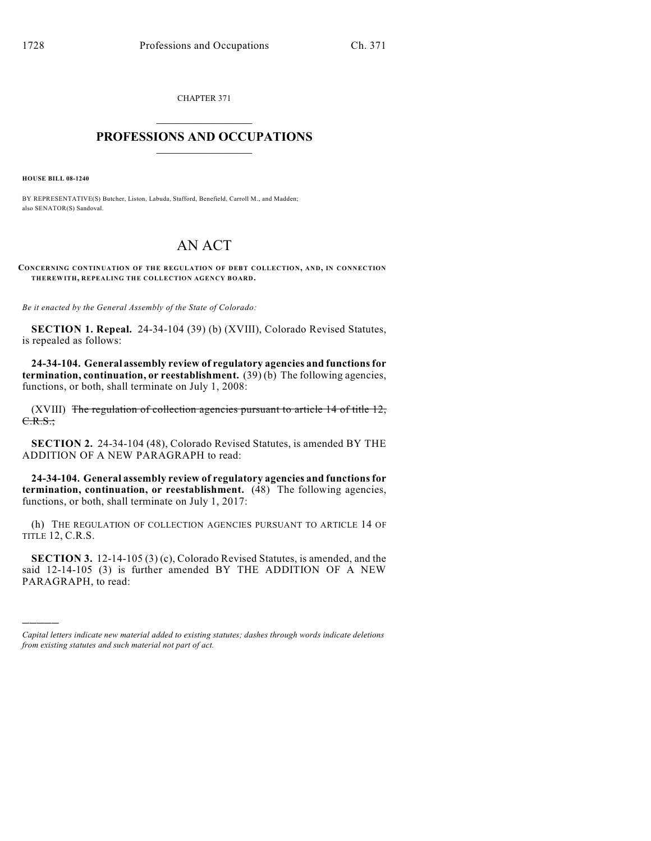CHAPTER 371  $\overline{\phantom{a}}$  . The set of the set of the set of the set of the set of the set of the set of the set of the set of the set of the set of the set of the set of the set of the set of the set of the set of the set of the set o

## **PROFESSIONS AND OCCUPATIONS**  $\frac{1}{2}$  ,  $\frac{1}{2}$  ,  $\frac{1}{2}$  ,  $\frac{1}{2}$  ,  $\frac{1}{2}$  ,  $\frac{1}{2}$

**HOUSE BILL 08-1240**

)))))

BY REPRESENTATIVE(S) Butcher, Liston, Labuda, Stafford, Benefield, Carroll M., and Madden; also SENATOR(S) Sandoval.

## AN ACT

**CONCERNING CONTINUATION OF THE REGULATION OF DEBT COLLECTION, AND, IN CONNECTION THEREWITH, REPEALING THE COLLECTION AGENCY BOARD.**

*Be it enacted by the General Assembly of the State of Colorado:*

**SECTION 1. Repeal.** 24-34-104 (39) (b) (XVIII), Colorado Revised Statutes, is repealed as follows:

**24-34-104. General assembly review of regulatory agencies and functions for termination, continuation, or reestablishment.** (39) (b) The following agencies, functions, or both, shall terminate on July 1, 2008:

(XVIII) The regulation of collection agencies pursuant to article  $14$  of title  $12$ , C.R.S.;

**SECTION 2.** 24-34-104 (48), Colorado Revised Statutes, is amended BY THE ADDITION OF A NEW PARAGRAPH to read:

**24-34-104. General assembly review of regulatory agencies and functions for termination, continuation, or reestablishment.** (48) The following agencies, functions, or both, shall terminate on July 1, 2017:

(h) THE REGULATION OF COLLECTION AGENCIES PURSUANT TO ARTICLE 14 OF TITLE 12, C.R.S.

**SECTION 3.** 12-14-105 (3) (c), Colorado Revised Statutes, is amended, and the said 12-14-105 (3) is further amended BY THE ADDITION OF A NEW PARAGRAPH, to read:

*Capital letters indicate new material added to existing statutes; dashes through words indicate deletions from existing statutes and such material not part of act.*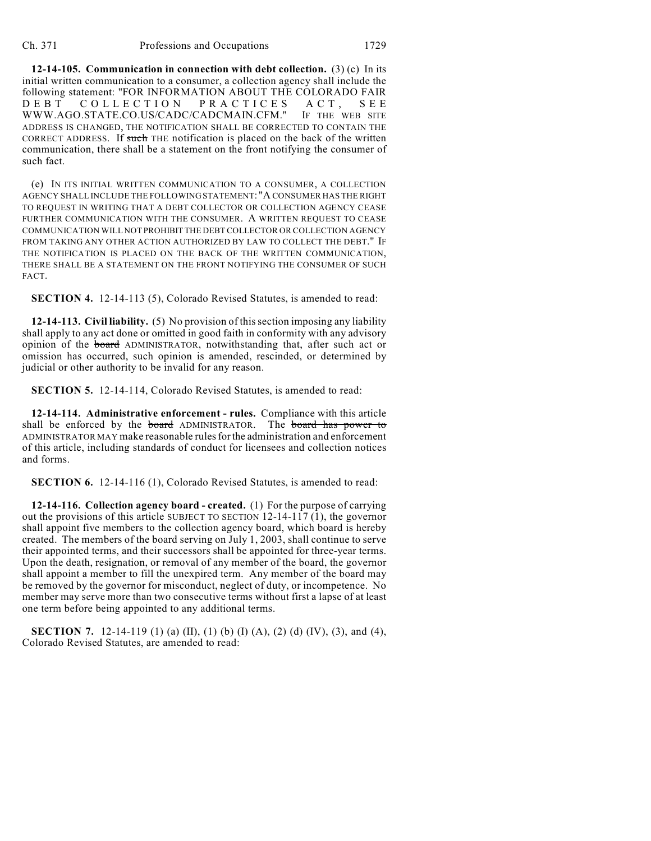**12-14-105. Communication in connection with debt collection.** (3) (c) In its initial written communication to a consumer, a collection agency shall include the following statement: "FOR INFORMATION ABOUT THE COLORADO FAIR<br>D E B T C O L L E C T I O N P R A C T I C E S A C T . S E E DEBT COLLECTION PRACTICES ACT, SEE WWW.AGO.STATE.CO.US/CADC/CADCMAIN.CFM." IF THE WEB SITE ADDRESS IS CHANGED, THE NOTIFICATION SHALL BE CORRECTED TO CONTAIN THE CORRECT ADDRESS. If such THE notification is placed on the back of the written communication, there shall be a statement on the front notifying the consumer of such fact.

(e) IN ITS INITIAL WRITTEN COMMUNICATION TO A CONSUMER, A COLLECTION AGENCY SHALL INCLUDE THE FOLLOWING STATEMENT: "A CONSUMER HAS THE RIGHT TO REQUEST IN WRITING THAT A DEBT COLLECTOR OR COLLECTION AGENCY CEASE FURTHER COMMUNICATION WITH THE CONSUMER. A WRITTEN REQUEST TO CEASE COMMUNICATION WILL NOT PROHIBIT THE DEBT COLLECTOR OR COLLECTION AGENCY FROM TAKING ANY OTHER ACTION AUTHORIZED BY LAW TO COLLECT THE DEBT." IF THE NOTIFICATION IS PLACED ON THE BACK OF THE WRITTEN COMMUNICATION, THERE SHALL BE A STATEMENT ON THE FRONT NOTIFYING THE CONSUMER OF SUCH FACT.

**SECTION 4.** 12-14-113 (5), Colorado Revised Statutes, is amended to read:

**12-14-113. Civil liability.** (5) No provision of this section imposing any liability shall apply to any act done or omitted in good faith in conformity with any advisory opinion of the board ADMINISTRATOR, notwithstanding that, after such act or omission has occurred, such opinion is amended, rescinded, or determined by judicial or other authority to be invalid for any reason.

**SECTION 5.** 12-14-114, Colorado Revised Statutes, is amended to read:

**12-14-114. Administrative enforcement - rules.** Compliance with this article shall be enforced by the board ADMINISTRATOR. The board has power to ADMINISTRATOR MAY make reasonable rules for the administration and enforcement of this article, including standards of conduct for licensees and collection notices and forms.

**SECTION 6.** 12-14-116 (1), Colorado Revised Statutes, is amended to read:

**12-14-116. Collection agency board - created.** (1) For the purpose of carrying out the provisions of this article SUBJECT TO SECTION 12-14-117 (1), the governor shall appoint five members to the collection agency board, which board is hereby created. The members of the board serving on July 1, 2003, shall continue to serve their appointed terms, and their successors shall be appointed for three-year terms. Upon the death, resignation, or removal of any member of the board, the governor shall appoint a member to fill the unexpired term. Any member of the board may be removed by the governor for misconduct, neglect of duty, or incompetence. No member may serve more than two consecutive terms without first a lapse of at least one term before being appointed to any additional terms.

**SECTION 7.** 12-14-119 (1) (a) (II), (1) (b) (I) (A), (2) (d) (IV), (3), and (4), Colorado Revised Statutes, are amended to read: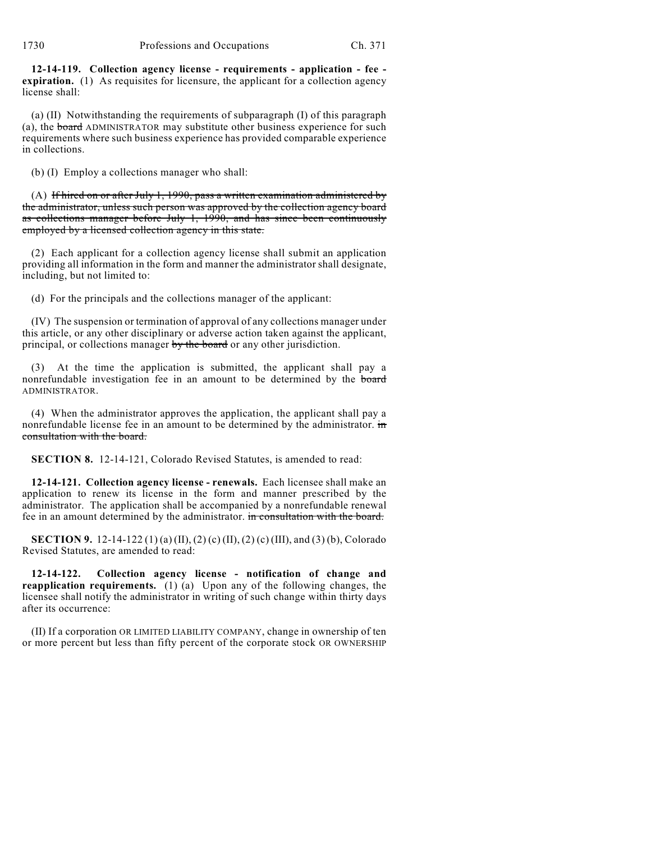**12-14-119. Collection agency license - requirements - application - fee expiration.** (1) As requisites for licensure, the applicant for a collection agency license shall:

(a) (II) Notwithstanding the requirements of subparagraph (I) of this paragraph (a), the board ADMINISTRATOR may substitute other business experience for such requirements where such business experience has provided comparable experience in collections.

(b) (I) Employ a collections manager who shall:

 $(A)$  If hired on or after July 1, 1990, pass a written examination administered by the administrator, unless such person was approved by the collection agency board as collections manager before July 1, 1990, and has since been continuously employed by a licensed collection agency in this state.

(2) Each applicant for a collection agency license shall submit an application providing all information in the form and manner the administrator shall designate, including, but not limited to:

(d) For the principals and the collections manager of the applicant:

(IV) The suspension or termination of approval of any collections manager under this article, or any other disciplinary or adverse action taken against the applicant, principal, or collections manager by the board or any other jurisdiction.

(3) At the time the application is submitted, the applicant shall pay a nonrefundable investigation fee in an amount to be determined by the board ADMINISTRATOR.

(4) When the administrator approves the application, the applicant shall pay a nonrefundable license fee in an amount to be determined by the administrator.  $\overline{m}$ consultation with the board.

**SECTION 8.** 12-14-121, Colorado Revised Statutes, is amended to read:

**12-14-121. Collection agency license - renewals.** Each licensee shall make an application to renew its license in the form and manner prescribed by the administrator. The application shall be accompanied by a nonrefundable renewal fee in an amount determined by the administrator. in consultation with the board.

**SECTION 9.** 12-14-122 (1) (a) (II), (2) (c) (II), (2) (c) (III), and (3) (b), Colorado Revised Statutes, are amended to read:

**12-14-122. Collection agency license - notification of change and reapplication requirements.** (1) (a) Upon any of the following changes, the licensee shall notify the administrator in writing of such change within thirty days after its occurrence:

(II) If a corporation OR LIMITED LIABILITY COMPANY, change in ownership of ten or more percent but less than fifty percent of the corporate stock OR OWNERSHIP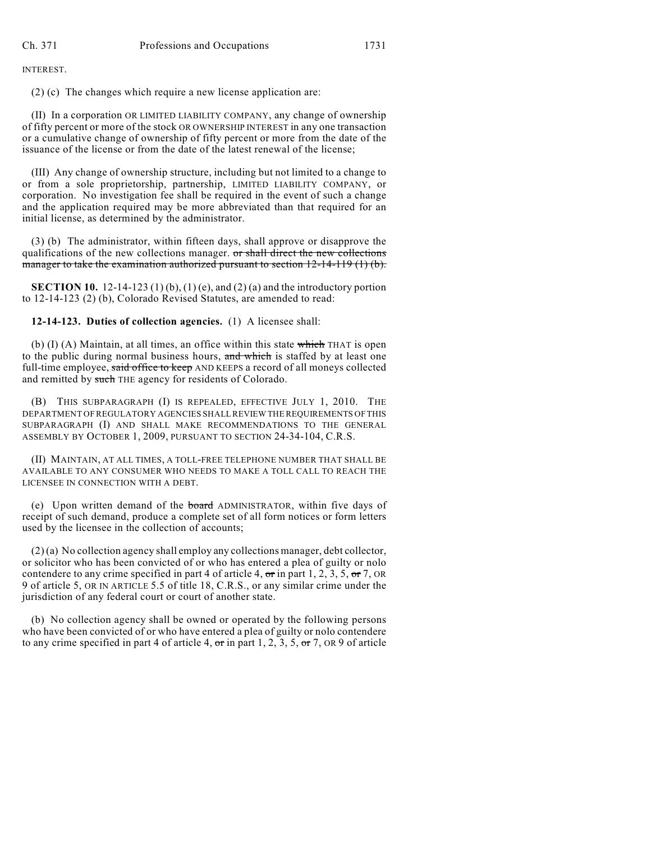INTEREST.

(2) (c) The changes which require a new license application are:

(II) In a corporation OR LIMITED LIABILITY COMPANY, any change of ownership of fifty percent or more of the stock OR OWNERSHIP INTEREST in any one transaction or a cumulative change of ownership of fifty percent or more from the date of the issuance of the license or from the date of the latest renewal of the license;

(III) Any change of ownership structure, including but not limited to a change to or from a sole proprietorship, partnership, LIMITED LIABILITY COMPANY, or corporation. No investigation fee shall be required in the event of such a change and the application required may be more abbreviated than that required for an initial license, as determined by the administrator.

(3) (b) The administrator, within fifteen days, shall approve or disapprove the qualifications of the new collections manager. or shall direct the new collections manager to take the examination authorized pursuant to section  $12-14-119$  (1) (b).

**SECTION 10.** 12-14-123 (1) (b), (1) (e), and (2) (a) and the introductory portion to 12-14-123 (2) (b), Colorado Revised Statutes, are amended to read:

**12-14-123. Duties of collection agencies.** (1) A licensee shall:

(b)  $(I)$  (A) Maintain, at all times, an office within this state which THAT is open to the public during normal business hours, and which is staffed by at least one full-time employee, said office to keep AND KEEPS a record of all moneys collected and remitted by such THE agency for residents of Colorado.

(B) THIS SUBPARAGRAPH (I) IS REPEALED, EFFECTIVE JULY 1, 2010. THE DEPARTMENT OF REGULATORY AGENCIES SHALL REVIEW THE REQUIREMENTS OF THIS SUBPARAGRAPH (I) AND SHALL MAKE RECOMMENDATIONS TO THE GENERAL ASSEMBLY BY OCTOBER 1, 2009, PURSUANT TO SECTION 24-34-104, C.R.S.

(II) MAINTAIN, AT ALL TIMES, A TOLL-FREE TELEPHONE NUMBER THAT SHALL BE AVAILABLE TO ANY CONSUMER WHO NEEDS TO MAKE A TOLL CALL TO REACH THE LICENSEE IN CONNECTION WITH A DEBT.

(e) Upon written demand of the board ADMINISTRATOR, within five days of receipt of such demand, produce a complete set of all form notices or form letters used by the licensee in the collection of accounts;

(2) (a) No collection agency shall employ any collections manager, debt collector, or solicitor who has been convicted of or who has entered a plea of guilty or nolo contendere to any crime specified in part 4 of article 4,  $\sigma$ r in part 1, 2, 3, 5,  $\sigma$ r 7, OR 9 of article 5, OR IN ARTICLE 5.5 of title 18, C.R.S., or any similar crime under the jurisdiction of any federal court or court of another state.

(b) No collection agency shall be owned or operated by the following persons who have been convicted of or who have entered a plea of guilty or nolo contendere to any crime specified in part 4 of article 4,  $\sigma$ r in part 1, 2, 3, 5,  $\sigma$ r 7, OR 9 of article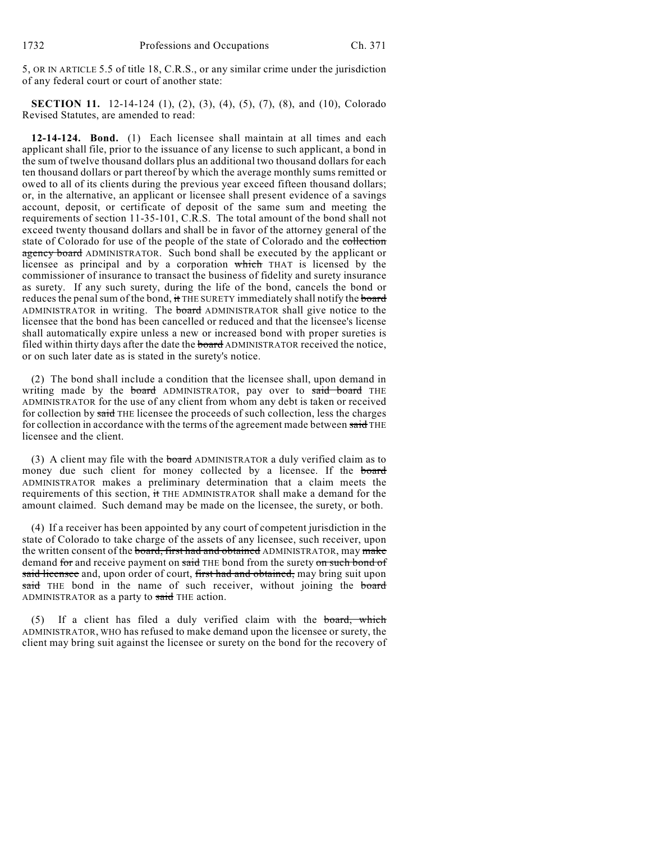5, OR IN ARTICLE 5.5 of title 18, C.R.S., or any similar crime under the jurisdiction of any federal court or court of another state:

**SECTION 11.** 12-14-124 (1), (2), (3), (4), (5), (7), (8), and (10), Colorado Revised Statutes, are amended to read:

**12-14-124. Bond.** (1) Each licensee shall maintain at all times and each applicant shall file, prior to the issuance of any license to such applicant, a bond in the sum of twelve thousand dollars plus an additional two thousand dollars for each ten thousand dollars or part thereof by which the average monthly sums remitted or owed to all of its clients during the previous year exceed fifteen thousand dollars; or, in the alternative, an applicant or licensee shall present evidence of a savings account, deposit, or certificate of deposit of the same sum and meeting the requirements of section 11-35-101, C.R.S. The total amount of the bond shall not exceed twenty thousand dollars and shall be in favor of the attorney general of the state of Colorado for use of the people of the state of Colorado and the collection agency board ADMINISTRATOR. Such bond shall be executed by the applicant or licensee as principal and by a corporation which THAT is licensed by the commissioner of insurance to transact the business of fidelity and surety insurance as surety. If any such surety, during the life of the bond, cancels the bond or reduces the penal sum of the bond, it THE SURETY immediately shall notify the board ADMINISTRATOR in writing. The board ADMINISTRATOR shall give notice to the licensee that the bond has been cancelled or reduced and that the licensee's license shall automatically expire unless a new or increased bond with proper sureties is filed within thirty days after the date the board ADMINISTRATOR received the notice, or on such later date as is stated in the surety's notice.

(2) The bond shall include a condition that the licensee shall, upon demand in writing made by the **board** ADMINISTRATOR, pay over to said board THE ADMINISTRATOR for the use of any client from whom any debt is taken or received for collection by said THE licensee the proceeds of such collection, less the charges for collection in accordance with the terms of the agreement made between said THE licensee and the client.

(3) A client may file with the board ADMINISTRATOR a duly verified claim as to money due such client for money collected by a licensee. If the board ADMINISTRATOR makes a preliminary determination that a claim meets the requirements of this section, it THE ADMINISTRATOR shall make a demand for the amount claimed. Such demand may be made on the licensee, the surety, or both.

(4) If a receiver has been appointed by any court of competent jurisdiction in the state of Colorado to take charge of the assets of any licensee, such receiver, upon the written consent of the board, first had and obtained ADMINISTRATOR, may make demand for and receive payment on said THE bond from the surety on such bond of said licensee and, upon order of court, first had and obtained, may bring suit upon said THE bond in the name of such receiver, without joining the board ADMINISTRATOR as a party to said THE action.

If a client has filed a duly verified claim with the board, which ADMINISTRATOR, WHO has refused to make demand upon the licensee or surety, the client may bring suit against the licensee or surety on the bond for the recovery of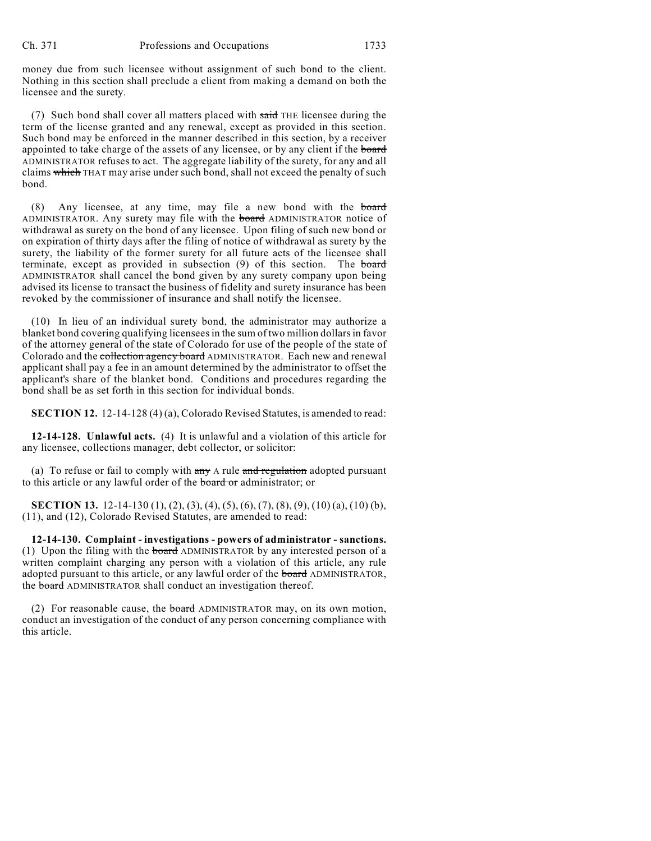money due from such licensee without assignment of such bond to the client. Nothing in this section shall preclude a client from making a demand on both the licensee and the surety.

(7) Such bond shall cover all matters placed with said THE licensee during the term of the license granted and any renewal, except as provided in this section. Such bond may be enforced in the manner described in this section, by a receiver appointed to take charge of the assets of any licensee, or by any client if the board ADMINISTRATOR refuses to act. The aggregate liability of the surety, for any and all claims which THAT may arise under such bond, shall not exceed the penalty of such bond.

(8) Any licensee, at any time, may file a new bond with the board ADMINISTRATOR. Any surety may file with the **board** ADMINISTRATOR notice of withdrawal as surety on the bond of any licensee. Upon filing of such new bond or on expiration of thirty days after the filing of notice of withdrawal as surety by the surety, the liability of the former surety for all future acts of the licensee shall terminate, except as provided in subsection (9) of this section. The board ADMINISTRATOR shall cancel the bond given by any surety company upon being advised its license to transact the business of fidelity and surety insurance has been revoked by the commissioner of insurance and shall notify the licensee.

(10) In lieu of an individual surety bond, the administrator may authorize a blanket bond covering qualifying licensees in the sum of two million dollars in favor of the attorney general of the state of Colorado for use of the people of the state of Colorado and the collection agency board ADMINISTRATOR. Each new and renewal applicant shall pay a fee in an amount determined by the administrator to offset the applicant's share of the blanket bond. Conditions and procedures regarding the bond shall be as set forth in this section for individual bonds.

**SECTION 12.** 12-14-128 (4) (a), Colorado Revised Statutes, is amended to read:

**12-14-128. Unlawful acts.** (4) It is unlawful and a violation of this article for any licensee, collections manager, debt collector, or solicitor:

(a) To refuse or fail to comply with  $\frac{1}{x}$  a rule and regulation adopted pursuant to this article or any lawful order of the board or administrator; or

**SECTION 13.** 12-14-130 (1), (2), (3), (4), (5), (6), (7), (8), (9), (10) (a), (10) (b), (11), and (12), Colorado Revised Statutes, are amended to read:

**12-14-130. Complaint - investigations - powers of administrator - sanctions.** (1) Upon the filing with the board ADMINISTRATOR by any interested person of a written complaint charging any person with a violation of this article, any rule adopted pursuant to this article, or any lawful order of the **board** ADMINISTRATOR, the board ADMINISTRATOR shall conduct an investigation thereof.

(2) For reasonable cause, the board ADMINISTRATOR may, on its own motion, conduct an investigation of the conduct of any person concerning compliance with this article.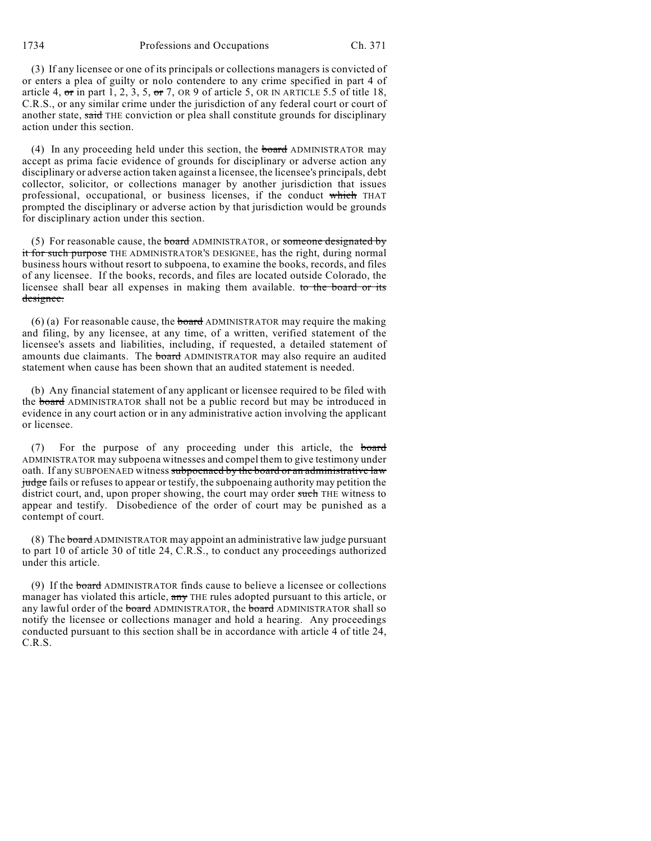1734 Professions and Occupations Ch. 371

(3) If any licensee or one of its principals or collections managers is convicted of or enters a plea of guilty or nolo contendere to any crime specified in part 4 of article 4,  $\sigma$ r in part 1, 2, 3, 5,  $\sigma$ r 7, OR 9 of article 5, OR IN ARTICLE 5.5 of title 18, C.R.S., or any similar crime under the jurisdiction of any federal court or court of another state, said THE conviction or plea shall constitute grounds for disciplinary action under this section.

(4) In any proceeding held under this section, the board ADMINISTRATOR may accept as prima facie evidence of grounds for disciplinary or adverse action any disciplinary or adverse action taken against a licensee, the licensee's principals, debt collector, solicitor, or collections manager by another jurisdiction that issues professional, occupational, or business licenses, if the conduct which THAT prompted the disciplinary or adverse action by that jurisdiction would be grounds for disciplinary action under this section.

(5) For reasonable cause, the board ADMINISTRATOR, or someone designated by it for such purpose THE ADMINISTRATOR'S DESIGNEE, has the right, during normal business hours without resort to subpoena, to examine the books, records, and files of any licensee. If the books, records, and files are located outside Colorado, the licensee shall bear all expenses in making them available. to the board or its designee.

(6) (a) For reasonable cause, the **board** ADMINISTRATOR may require the making and filing, by any licensee, at any time, of a written, verified statement of the licensee's assets and liabilities, including, if requested, a detailed statement of amounts due claimants. The board ADMINISTRATOR may also require an audited statement when cause has been shown that an audited statement is needed.

(b) Any financial statement of any applicant or licensee required to be filed with the board ADMINISTRATOR shall not be a public record but may be introduced in evidence in any court action or in any administrative action involving the applicant or licensee.

(7) For the purpose of any proceeding under this article, the board ADMINISTRATOR may subpoena witnesses and compel them to give testimony under oath. If any SUBPOENAED witness subpoenaed by the board or an administrative law judge fails or refuses to appear or testify, the subpoenaing authority may petition the district court, and, upon proper showing, the court may order such THE witness to appear and testify. Disobedience of the order of court may be punished as a contempt of court.

(8) The board ADMINISTRATOR may appoint an administrative law judge pursuant to part 10 of article 30 of title 24, C.R.S., to conduct any proceedings authorized under this article.

(9) If the board ADMINISTRATOR finds cause to believe a licensee or collections manager has violated this article, any THE rules adopted pursuant to this article, or any lawful order of the **board** ADMINISTRATOR, the **board** ADMINISTRATOR shall so notify the licensee or collections manager and hold a hearing. Any proceedings conducted pursuant to this section shall be in accordance with article 4 of title 24, C.R.S.